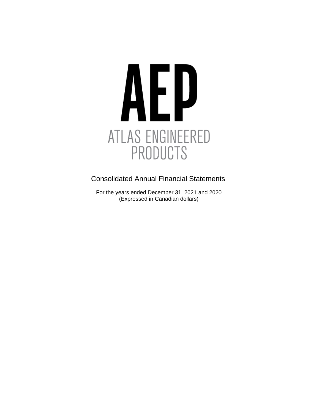

# Consolidated Annual Financial Statements

For the years ended December 31, 2021 and 2020 (Expressed in Canadian dollars)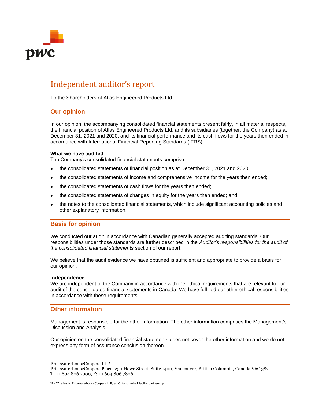

# Independent auditor's report

To the Shareholders of Atlas Engineered Products Ltd.

#### **Our opinion**

In our opinion, the accompanying consolidated financial statements present fairly, in all material respects, the financial position of Atlas Engineered Products Ltd. and its subsidiaries (together, the Company) as at December 31, 2021 and 2020, and its financial performance and its cash flows for the years then ended in accordance with International Financial Reporting Standards (IFRS).

#### **What we have audited**

The Company's consolidated financial statements comprise:

- the consolidated statements of financial position as at December 31, 2021 and 2020;
- the consolidated statements of income and comprehensive income for the years then ended;
- the consolidated statements of cash flows for the years then ended;
- the consolidated statements of changes in equity for the years then ended; and
- the notes to the consolidated financial statements, which include significant accounting policies and other explanatory information.

### **Basis for opinion**

We conducted our audit in accordance with Canadian generally accepted auditing standards. Our responsibilities under those standards are further described in the *Auditor's responsibilities for the audit of the consolidated financial statements* section of our report.

We believe that the audit evidence we have obtained is sufficient and appropriate to provide a basis for our opinion.

#### **Independence**

We are independent of the Company in accordance with the ethical requirements that are relevant to our audit of the consolidated financial statements in Canada. We have fulfilled our other ethical responsibilities in accordance with these requirements.

#### **Other information**

Management is responsible for the other information. The other information comprises the Management's Discussion and Analysis.

Our opinion on the consolidated financial statements does not cover the other information and we do not express any form of assurance conclusion thereon.

PricewaterhouseCoopers LLP PricewaterhouseCoopers Place, 250 Howe Street, Suite 1400, Vancouver, British Columbia, Canada V6C 3S7 T: +1 604 806 7000, F: +1 604 806 7806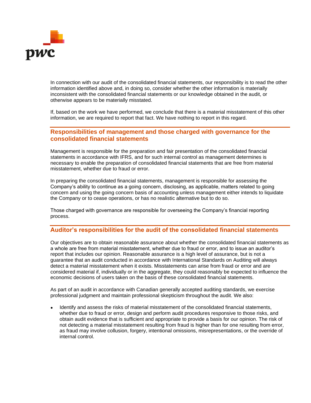

In connection with our audit of the consolidated financial statements, our responsibility is to read the other information identified above and, in doing so, consider whether the other information is materially inconsistent with the consolidated financial statements or our knowledge obtained in the audit, or otherwise appears to be materially misstated.

If, based on the work we have performed, we conclude that there is a material misstatement of this other information, we are required to report that fact. We have nothing to report in this regard.

#### **Responsibilities of management and those charged with governance for the consolidated financial statements**

Management is responsible for the preparation and fair presentation of the consolidated financial statements in accordance with IFRS, and for such internal control as management determines is necessary to enable the preparation of consolidated financial statements that are free from material misstatement, whether due to fraud or error.

In preparing the consolidated financial statements, management is responsible for assessing the Company's ability to continue as a going concern, disclosing, as applicable, matters related to going concern and using the going concern basis of accounting unless management either intends to liquidate the Company or to cease operations, or has no realistic alternative but to do so.

Those charged with governance are responsible for overseeing the Company's financial reporting process.

#### **Auditor's responsibilities for the audit of the consolidated financial statements**

Our objectives are to obtain reasonable assurance about whether the consolidated financial statements as a whole are free from material misstatement, whether due to fraud or error, and to issue an auditor's report that includes our opinion. Reasonable assurance is a high level of assurance, but is not a guarantee that an audit conducted in accordance with International Standards on Auditing will always detect a material misstatement when it exists. Misstatements can arise from fraud or error and are considered material if, individually or in the aggregate, they could reasonably be expected to influence the economic decisions of users taken on the basis of these consolidated financial statements.

As part of an audit in accordance with Canadian generally accepted auditing standards, we exercise professional judgment and maintain professional skepticism throughout the audit. We also:

Identify and assess the risks of material misstatement of the consolidated financial statements, whether due to fraud or error, design and perform audit procedures responsive to those risks, and obtain audit evidence that is sufficient and appropriate to provide a basis for our opinion. The risk of not detecting a material misstatement resulting from fraud is higher than for one resulting from error, as fraud may involve collusion, forgery, intentional omissions, misrepresentations, or the override of internal control.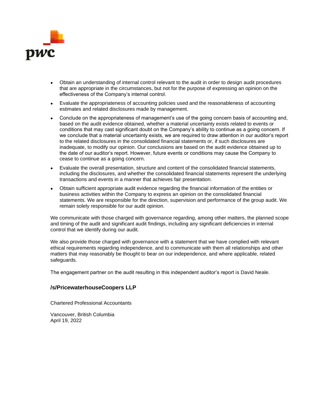

- Obtain an understanding of internal control relevant to the audit in order to design audit procedures that are appropriate in the circumstances, but not for the purpose of expressing an opinion on the effectiveness of the Company's internal control.
- Evaluate the appropriateness of accounting policies used and the reasonableness of accounting estimates and related disclosures made by management.
- Conclude on the appropriateness of management's use of the going concern basis of accounting and, based on the audit evidence obtained, whether a material uncertainty exists related to events or conditions that may cast significant doubt on the Company's ability to continue as a going concern. If we conclude that a material uncertainty exists, we are required to draw attention in our auditor's report to the related disclosures in the consolidated financial statements or, if such disclosures are inadequate, to modify our opinion. Our conclusions are based on the audit evidence obtained up to the date of our auditor's report. However, future events or conditions may cause the Company to cease to continue as a going concern.
- Evaluate the overall presentation, structure and content of the consolidated financial statements, including the disclosures, and whether the consolidated financial statements represent the underlying transactions and events in a manner that achieves fair presentation.
- Obtain sufficient appropriate audit evidence regarding the financial information of the entities or business activities within the Company to express an opinion on the consolidated financial statements. We are responsible for the direction, supervision and performance of the group audit. We remain solely responsible for our audit opinion.

We communicate with those charged with governance regarding, among other matters, the planned scope and timing of the audit and significant audit findings, including any significant deficiencies in internal control that we identify during our audit.

We also provide those charged with governance with a statement that we have complied with relevant ethical requirements regarding independence, and to communicate with them all relationships and other matters that may reasonably be thought to bear on our independence, and where applicable, related safeguards.

The engagement partner on the audit resulting in this independent auditor's report is David Neale.

#### **/s/PricewaterhouseCoopers LLP**

Chartered Professional Accountants

Vancouver, British Columbia April 19, 2022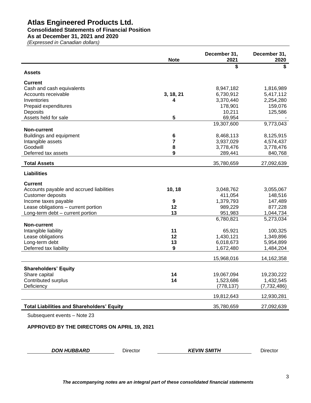#### **Consolidated Statements of Financial Position**

### **As at December 31, 2021 and 2020**

*(Expressed in Canadian dollars)*

|                                                   | <b>Note</b> | December 31,<br>2021 | December 31,<br>2020 |
|---------------------------------------------------|-------------|----------------------|----------------------|
|                                                   |             | \$                   | \$                   |
| <b>Assets</b>                                     |             |                      |                      |
| <b>Current</b>                                    |             |                      |                      |
| Cash and cash equivalents                         |             | 8,947,182            | 1,816,989            |
| Accounts receivable                               | 3, 18, 21   | 6,730,912            | 5,417,112            |
| Inventories                                       | 4           | 3,370,440            | 2,254,280            |
| Prepaid expenditures                              |             | 178,901              | 159,076              |
| Deposits                                          |             | 10,211               | 125,586              |
| Assets held for sale                              | 5           | 69,954               |                      |
| <b>Non-current</b>                                |             | 19,307,600           | 9,773,043            |
| Buildings and equipment                           | 6           | 8,468,113            | 8,125,915            |
| Intangible assets                                 | 7           | 3,937,029            | 4,574,437            |
| Goodwill                                          | 8           | 3,778,476            | 3,778,476            |
| Deferred tax assets                               | 9           | 289,441              | 840,768              |
|                                                   |             |                      |                      |
| <b>Total Assets</b>                               |             | 35,780,659           | 27,092,639           |
| <b>Liabilities</b>                                |             |                      |                      |
| <b>Current</b>                                    |             |                      |                      |
| Accounts payable and accrued liabilities          | 10, 18      | 3,048,762            | 3,055,067            |
| <b>Customer deposits</b>                          |             | 411,054              | 148,516              |
| Income taxes payable                              | 9           | 1,379,793            | 147,489              |
| Lease obligations - current portion               | 12          | 989,229              | 877,228              |
| Long-term debt - current portion                  | 13          | 951,983              | 1,044,734            |
|                                                   |             | 6,780,821            | 5,273,034            |
| <b>Non-current</b><br>Intangible liability        | 11          | 65,921               | 100,325              |
| Lease obligations                                 | 12          | 1,430,121            | 1,349,896            |
| Long-term debt                                    | 13          | 6,018,673            | 5,954,899            |
| Deferred tax liability                            | 9           | 1,672,480            | 1,484,204            |
|                                                   |             |                      |                      |
|                                                   |             | 15,968,016           | 14,162,358           |
| <b>Shareholders' Equity</b>                       |             |                      |                      |
| Share capital                                     | 14          | 19,067,094           | 19,230,222           |
| Contributed surplus                               | 14          | 1,523,686            | 1,432,545            |
| Deficiency                                        |             | (778, 137)           | (7, 732, 486)        |
|                                                   |             | 19,812,643           | 12,930,281           |
| <b>Total Liabilities and Shareholders' Equity</b> |             | 35,780,659           | 27,092,639           |
| Subsequent events - Note 23                       |             |                      |                      |
| APPROVED BY THE DIRECTORS ON APRIL 19, 2021       |             |                      |                      |

| <b>DON HUBBARD</b> | Director ⊺ | <b>KEVIN SMITH</b> | שווכΩ |
|--------------------|------------|--------------------|-------|
|                    |            |                    |       |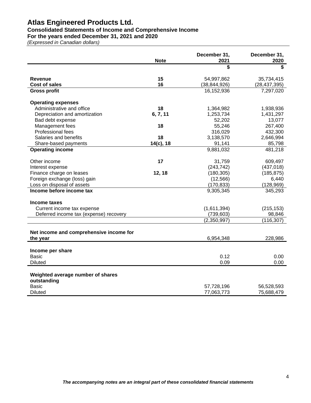### **Consolidated Statements of Income and Comprehensive Income**

**For the years ended December 31, 2021 and 2020**

*(Expressed in Canadian dollars)*

|                                         | <b>Note</b>  | December 31,<br>2021 | December 31,<br>2020 |
|-----------------------------------------|--------------|----------------------|----------------------|
|                                         |              | \$                   | \$                   |
| <b>Revenue</b>                          | 15           | 54,997,862           | 35,734,415           |
| <b>Cost of sales</b>                    | 16           | (38, 844, 926)       | (28, 437, 395)       |
| <b>Gross profit</b>                     |              | 16,152,936           | 7,297,020            |
| <b>Operating expenses</b>               |              |                      |                      |
| Administrative and office               | 18           | 1,364,982            | 1,938,936            |
| Depreciation and amortization           | 6, 7, 11     | 1,253,734            | 1,431,297            |
| Bad debt expense                        |              | 52,202               | 13,077               |
| Management fees                         | 18           | 55,246               | 267,400              |
| Professional fees                       |              | 316,029              | 432,300              |
| Salaries and benefits                   | 18           | 3,138,570            | 2,646,994            |
| Share-based payments                    | $14(c)$ , 18 | 91,141               | 85,798               |
| <b>Operating income</b>                 |              | 9,881,032            | 481,218              |
| Other income                            | 17           | 31,759               | 609,497              |
| Interest expense                        |              | (243, 742)           | (437, 018)           |
| Finance charge on leases                | 12, 18       | (180, 305)           | (185, 875)           |
| Foreign exchange (loss) gain            |              | (12, 566)            | 6,440                |
| Loss on disposal of assets              |              | (170, 833)           | (128, 969)           |
| Income before income tax                |              | 9,305,345            | 345,293              |
| Income taxes                            |              |                      |                      |
| Current income tax expense              |              | (1,611,394)          | (215, 153)           |
| Deferred income tax (expense) recovery  |              | (739, 603)           | 98,846               |
|                                         |              | (2,350,997)          | (116, 307)           |
| Net income and comprehensive income for |              |                      |                      |
| the year                                |              | 6,954,348            | 228,986              |
|                                         |              |                      |                      |
| Income per share<br><b>Basic</b>        |              | 0.12                 | 0.00                 |
| Diluted                                 |              | 0.09                 | 0.00                 |
|                                         |              |                      |                      |
| Weighted average number of shares       |              |                      |                      |
| outstanding                             |              |                      |                      |
| <b>Basic</b>                            |              | 57,728,196           | 56,528,593           |
| Diluted                                 |              | 77,063,773           | 75,688,479           |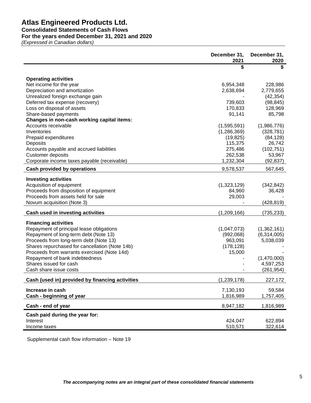**Consolidated Statements of Cash Flows**

### **For the years ended December 31, 2021 and 2020**

*(Expressed in Canadian dollars)*

|                                                 | December 31,<br>2021 | December 31,<br>2020 |
|-------------------------------------------------|----------------------|----------------------|
|                                                 | \$                   | \$                   |
| <b>Operating activities</b>                     |                      |                      |
| Net income for the year                         | 6,954,348            | 228,986              |
| Depreciation and amortization                   | 2,638,694            | 2,779,655            |
| Unrealized foreign exchange gain                |                      | (42, 354)            |
| Deferred tax expense (recovery)                 | 739,603              | (98, 845)            |
| Loss on disposal of assets                      | 170,833              | 128,969              |
| Share-based payments                            | 91,141               | 85,798               |
| Changes in non-cash working capital items:      |                      |                      |
| Accounts receivable                             | (1,595,591)          | (1,986,776)          |
| Inventories                                     | (1, 286, 369)        | (328, 781)           |
| Prepaid expenditures                            | (19, 825)            | (84, 128)            |
| Deposits                                        | 115,375              | 26,742               |
| Accounts payable and accrued liabilities        | 275,486              | (102, 751)           |
| <b>Customer deposits</b>                        | 262,538              | 53,967               |
| Corporate income taxes payable (receivable)     | 1,232,304            | (92, 837)            |
| <b>Cash provided by operations</b>              | 9,578,537            | 567,645              |
|                                                 |                      |                      |
| <b>Investing activities</b>                     |                      |                      |
| Acquisition of equipment                        | (1,323,129)          | (342, 842)           |
| Proceeds from disposition of equipment          | 84,960               | 36,428               |
| Proceeds from assets held for sale              | 29,003               |                      |
| Novum acquisition (Note 3)                      |                      | (428, 819)           |
| Cash used in investing activities               | (1,209,166)          | (735,233)            |
| <b>Financing activities</b>                     |                      |                      |
| Repayment of principal lease obligations        | (1,047,073)          | (1,362,161)          |
| Repayment of long-term debt (Note 13)           | (992,068)            | (6,314,005)          |
| Proceeds from long-term debt (Note 13)          | 963,091              | 5,038,039            |
| Shares repurchased for cancellation (Note 14b)  | (178, 128)           |                      |
| Proceeds from warrants exercised (Note 14d)     | 15,000               |                      |
| Repayment of bank indebtedness                  |                      | (1,470,000)          |
| Shares issued for cash                          |                      | 4,597,253            |
| Cash share issue costs                          |                      | (261, 954)           |
| Cash (used in) provided by financing activities | (1, 239, 178)        | 227,172              |
|                                                 |                      |                      |
| Increase in cash                                | 7,130,193            | 59,584               |
| Cash - beginning of year                        | 1,816,989            | 1,757,405            |
| Cash - end of year                              | 8,947,182            | 1,816,989            |
| Cash paid during the year for:                  |                      |                      |
| Interest                                        | 424,047              | 622,894              |
| Income taxes                                    | 510,571              | 322,614              |

Supplemental cash flow information – Note 19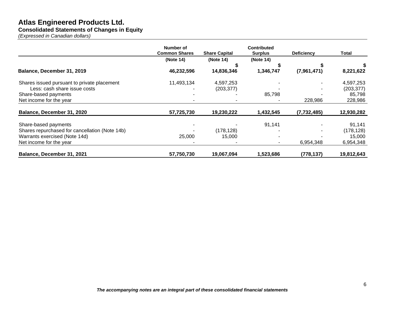## **Consolidated Statements of Changes in Equity**

*(Expressed in Canadian dollars)*

|                                                | Number of<br><b>Common Shares</b> | <b>Share Capital</b> | <b>Contributed</b><br><b>Surplus</b> | <b>Deficiency</b> | Total      |
|------------------------------------------------|-----------------------------------|----------------------|--------------------------------------|-------------------|------------|
|                                                | (Note 14)                         | (Note 14)            | (Note 14)                            |                   |            |
|                                                |                                   |                      |                                      |                   |            |
| Balance, December 31, 2019                     | 46,232,596                        | 14,836,346           | 1,346,747                            | (7,961,471)       | 8,221,622  |
| Shares issued pursuant to private placement    | 11,493,134                        | 4,597,253            |                                      |                   | 4,597,253  |
| Less: cash share issue costs                   |                                   | (203, 377)           |                                      |                   | (203, 377) |
| Share-based payments                           |                                   |                      | 85,798                               |                   | 85,798     |
| Net income for the year                        |                                   |                      |                                      | 228,986           | 228,986    |
| Balance, December 31, 2020                     | 57,725,730                        | 19,230,222           | 1,432,545                            | (7, 732, 485)     | 12,930,282 |
| Share-based payments                           |                                   |                      | 91,141                               |                   | 91,141     |
| Shares repurchased for cancellation (Note 14b) |                                   | (178, 128)           |                                      |                   | (178, 128) |
| Warrants exercised (Note 14d)                  | 25,000                            | 15,000               |                                      |                   | 15,000     |
| Net income for the year                        |                                   |                      |                                      | 6,954,348         | 6,954,348  |
| Balance, December 31, 2021                     | 57,750,730                        | 19,067,094           | 1,523,686                            | (778,137)         | 19,812,643 |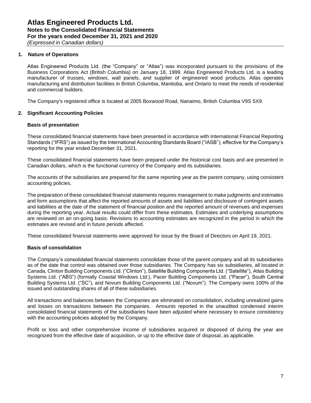#### **1. Nature of Operations**

Atlas Engineered Products Ltd. (the "Company" or "Atlas") was incorporated pursuant to the provisions of the Business Corporations Act (British Columbia) on January 18, 1999. Atlas Engineered Products Ltd. is a leading manufacturer of trusses, windows, wall panels, and supplier of engineered wood products. Atlas operates manufacturing and distribution facilities in British Columbia, Manitoba, and Ontario to meet the needs of residential and commercial builders.

The Company's registered office is located at 2005 Boxwood Road, Nanaimo, British Columbia V9S 5X9.

#### **2. Significant Accounting Policies**

#### **Basis of presentation**

These consolidated financial statements have been presented in accordance with International Financial Reporting Standards ("IFRS") as issued by the International Accounting Standards Board ("IASB"), effective for the Company's reporting for the year ended December 31, 2021.

These consolidated financial statements have been prepared under the historical cost basis and are presented in Canadian dollars, which is the functional currency of the Company and its subsidiaries.

The accounts of the subsidiaries are prepared for the same reporting year as the parent company, using consistent accounting policies.

The preparation of these consolidated financial statements requires management to make judgments and estimates and form assumptions that affect the reported amounts of assets and liabilities and disclosure of contingent assets and liabilities at the date of the statement of financial position and the reported amount of revenues and expenses during the reporting year. Actual results could differ from these estimates. Estimates and underlying assumptions are reviewed on an on-going basis. Revisions to accounting estimates are recognized in the period in which the estimates are revised and in future periods affected.

These consolidated financial statements were approved for issue by the Board of Directors on April 19, 2021.

#### **Basis of consolidation**

The Company's consolidated financial statements consolidate those of the parent company and all its subsidiaries as of the date that control was obtained over those subsidiaries. The Company has six subsidiaries, all located in Canada, Clinton Building Components Ltd. ("Clinton"), Satellite Building Components Ltd. ("Satellite"), Atlas Building Systems Ltd. ("ABS") (formally Coastal Windows Ltd.), Pacer Building Components Ltd. ("Pacer"), South Central Building Systems Ltd. ("SC"), and Novum Building Components Ltd. ("Novum"). The Company owns 100% of the issued and outstanding shares of all of these subsidiaries.

All transactions and balances between the Companies are eliminated on consolidation, including unrealized gains and losses on transactions between the companies. Amounts reported in the unaudited condensed interim consolidated financial statements of the subsidiaries have been adjusted where necessary to ensure consistency with the accounting policies adopted by the Company.

Profit or loss and other comprehensive income of subsidiaries acquired or disposed of during the year are recognized from the effective date of acquisition, or up to the effective date of disposal, as applicable.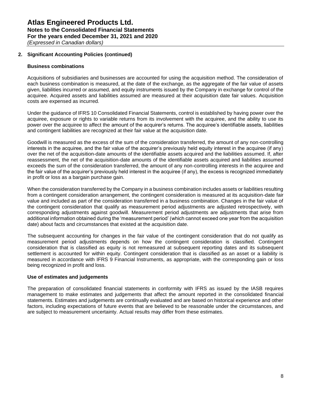#### **Business combinations**

Acquisitions of subsidiaries and businesses are accounted for using the acquisition method. The consideration of each business combination is measured, at the date of the exchange, as the aggregate of the fair value of assets given, liabilities incurred or assumed, and equity instruments issued by the Company in exchange for control of the acquiree. Acquired assets and liabilities assumed are measured at their acquisition date fair values. Acquisition costs are expensed as incurred.

Under the guidance of IFRS 10 Consolidated Financial Statements, control is established by having power over the acquiree, exposure or rights to variable returns from its involvement with the acquiree, and the ability to use its power over the acquiree to affect the amount of the acquirer's returns. The acquiree's identifiable assets, liabilities and contingent liabilities are recognized at their fair value at the acquisition date.

Goodwill is measured as the excess of the sum of the consideration transferred, the amount of any non-controlling interests in the acquiree, and the fair value of the acquirer's previously held equity interest in the acquiree (if any) over the net of the acquisition-date amounts of the identifiable assets acquired and the liabilities assumed. If, after reassessment, the net of the acquisition-date amounts of the identifiable assets acquired and liabilities assumed exceeds the sum of the consideration transferred, the amount of any non-controlling interests in the acquiree and the fair value of the acquirer's previously held interest in the acquiree (if any), the excess is recognized immediately in profit or loss as a bargain purchase gain.

When the consideration transferred by the Company in a business combination includes assets or liabilities resulting from a contingent consideration arrangement, the contingent consideration is measured at its acquisition-date fair value and included as part of the consideration transferred in a business combination. Changes in the fair value of the contingent consideration that qualify as measurement period adjustments are adjusted retrospectively, with corresponding adjustments against goodwill. Measurement period adjustments are adjustments that arise from additional information obtained during the 'measurement period' (which cannot exceed one year from the acquisition date) about facts and circumstances that existed at the acquisition date.

The subsequent accounting for changes in the fair value of the contingent consideration that do not qualify as measurement period adjustments depends on how the contingent consideration is classified. Contingent consideration that is classified as equity is not remeasured at subsequent reporting dates and its subsequent settlement is accounted for within equity. Contingent consideration that is classified as an asset or a liability is measured in accordance with IFRS 9 Financial Instruments, as appropriate, with the corresponding gain or loss being recognized in profit and loss.

#### **Use of estimates and judgements**

The preparation of consolidated financial statements in conformity with IFRS as issued by the IASB requires management to make estimates and judgements that affect the amount reported in the consolidated financial statements. Estimates and judgements are continually evaluated and are based on historical experience and other factors, including expectations of future events that are believed to be reasonable under the circumstances, and are subject to measurement uncertainty. Actual results may differ from these estimates.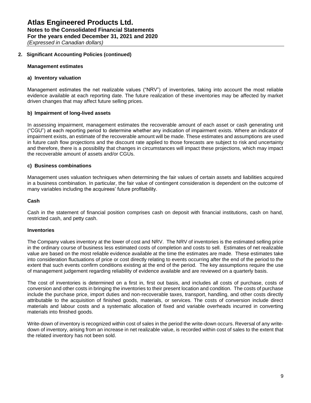#### **Management estimates**

#### **a) Inventory valuation**

Management estimates the net realizable values ("NRV") of inventories, taking into account the most reliable evidence available at each reporting date. The future realization of these inventories may be affected by market driven changes that may affect future selling prices.

#### **b) Impairment of long-lived assets**

In assessing impairment, management estimates the recoverable amount of each asset or cash generating unit ("CGU") at each reporting period to determine whether any indication of impairment exists. Where an indicator of impairment exists, an estimate of the recoverable amount will be made. These estimates and assumptions are used in future cash flow projections and the discount rate applied to those forecasts are subject to risk and uncertainty and therefore, there is a possibility that changes in circumstances will impact these projections, which may impact the recoverable amount of assets and/or CGUs.

#### **c) Business combinations**

Management uses valuation techniques when determining the fair values of certain assets and liabilities acquired in a business combination. In particular, the fair value of contingent consideration is dependent on the outcome of many variables including the acquirees' future profitability.

#### **Cash**

Cash in the statement of financial position comprises cash on deposit with financial institutions, cash on hand, restricted cash, and petty cash.

#### **Inventories**

The Company values inventory at the lower of cost and NRV. The NRV of inventories is the estimated selling price in the ordinary course of business less estimated costs of completion and costs to sell. Estimates of net realizable value are based on the most reliable evidence available at the time the estimates are made. These estimates take into consideration fluctuations of price or cost directly relating to events occurring after the end of the period to the extent that such events confirm conditions existing at the end of the period. The key assumptions require the use of management judgement regarding reliability of evidence available and are reviewed on a quarterly basis.

The cost of inventories is determined on a first in, first out basis, and includes all costs of purchase, costs of conversion and other costs in bringing the inventories to their present location and condition. The costs of purchase include the purchase price, import duties and non-recoverable taxes, transport, handling, and other costs directly attributable to the acquisition of finished goods, materials, or services. The costs of conversion include direct materials and labour costs and a systematic allocation of fixed and variable overheads incurred in converting materials into finished goods.

Write-down of inventory is recognized within cost of sales in the period the write-down occurs. Reversal of any writedown of inventory, arising from an increase in net realizable value, is recorded within cost of sales to the extent that the related inventory has not been sold.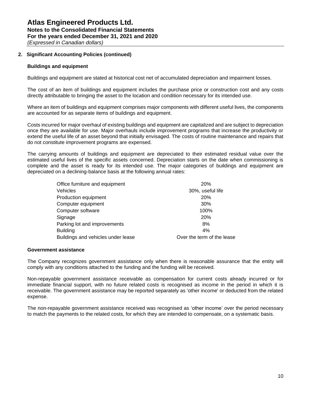#### **Buildings and equipment**

Buildings and equipment are stated at historical cost net of accumulated depreciation and impairment losses.

The cost of an item of buildings and equipment includes the purchase price or construction cost and any costs directly attributable to bringing the asset to the location and condition necessary for its intended use.

Where an item of buildings and equipment comprises major components with different useful lives, the components are accounted for as separate items of buildings and equipment.

Costs incurred for major overhaul of existing buildings and equipment are capitalized and are subject to depreciation once they are available for use. Major overhauls include improvement programs that increase the productivity or extend the useful life of an asset beyond that initially envisaged. The costs of routine maintenance and repairs that do not constitute improvement programs are expensed.

The carrying amounts of buildings and equipment are depreciated to their estimated residual value over the estimated useful lives of the specific assets concerned. Depreciation starts on the date when commissioning is complete and the asset is ready for its intended use. The major categories of buildings and equipment are depreciated on a declining-balance basis at the following annual rates:

| Office furniture and equipment     | <b>20%</b>                 |
|------------------------------------|----------------------------|
| Vehicles                           | 30%, useful life           |
| Production equipment               | 20%                        |
| Computer equipment                 | 30%                        |
| Computer software                  | 100%                       |
| Signage                            | 20%                        |
| Parking lot and improvements       | 8%                         |
| <b>Building</b>                    | 4%                         |
| Buildings and vehicles under lease | Over the term of the lease |
|                                    |                            |

#### **Government assistance**

The Company recognizes government assistance only when there is reasonable assurance that the entity will comply with any conditions attached to the funding and the funding will be received.

Non-repayable government assistance receivable as compensation for current costs already incurred or for immediate financial support, with no future related costs is recognised as income in the period in which it is receivable. The government assistance may be reported separately as 'other income' or deducted from the related expense.

The non-repayable government assistance received was recognised as 'other income' over the period necessary to match the payments to the related costs, for which they are intended to compensate, on a systematic basis.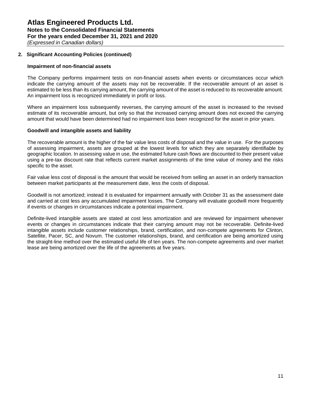*(Expressed in Canadian dollars)*

#### **2. Significant Accounting Policies (continued)**

#### **Impairment of non-financial assets**

The Company performs impairment tests on non-financial assets when events or circumstances occur which indicate the carrying amount of the assets may not be recoverable. If the recoverable amount of an asset is estimated to be less than its carrying amount, the carrying amount of the asset is reduced to its recoverable amount. An impairment loss is recognized immediately in profit or loss.

Where an impairment loss subsequently reverses, the carrying amount of the asset is increased to the revised estimate of its recoverable amount, but only so that the increased carrying amount does not exceed the carrying amount that would have been determined had no impairment loss been recognized for the asset in prior years.

#### **Goodwill and intangible assets and liability**

The recoverable amount is the higher of the fair value less costs of disposal and the value in use. For the purposes of assessing impairment, assets are grouped at the lowest levels for which they are separately identifiable by geographic location. In assessing value in use, the estimated future cash flows are discounted to their present value using a pre-tax discount rate that reflects current market assignments of the time value of money and the risks specific to the asset.

Fair value less cost of disposal is the amount that would be received from selling an asset in an orderly transaction between market participants at the measurement date, less the costs of disposal.

Goodwill is not amortized; instead it is evaluated for impairment annually with October 31 as the assessment date and carried at cost less any accumulated impairment losses. The Company will evaluate goodwill more frequently if events or changes in circumstances indicate a potential impairment.

Definite-lived intangible assets are stated at cost less amortization and are reviewed for impairment whenever events or changes in circumstances indicate that their carrying amount may not be recoverable. Definite-lived intangible assets include customer relationships, brand, certification, and non-compete agreements for Clinton, Satellite, Pacer, SC, and Novum. The customer relationships, brand, and certification are being amortized using the straight-line method over the estimated useful life of ten years. The non-compete agreements and over market lease are being amortized over the life of the agreements at five years.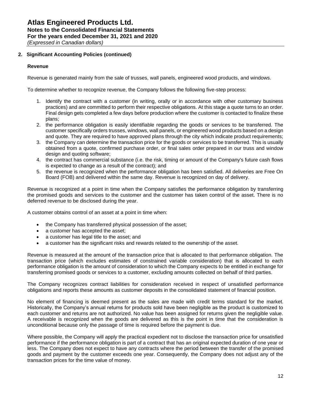#### **Revenue**

Revenue is generated mainly from the sale of trusses, wall panels, engineered wood products, and windows.

To determine whether to recognize revenue, the Company follows the following five-step process:

- 1. Identify the contract with a customer (in writing, orally or in accordance with other customary business practices) and are committed to perform their respective obligations. At this stage a quote turns to an order. Final design gets completed a few days before production where the customer is contacted to finalize these plans;
- 2. the performance obligation is easily identifiable regarding the goods or services to be transferred. The customer specifically orders trusses, windows, wall panels, or engineered wood products based on a design and quote. They are required to have approved plans through the city which indicate product requirements;
- 3. the Company can determine the transaction price for the goods or services to be transferred. This is usually obtained from a quote, confirmed purchase order, or final sales order prepared in our truss and window design and quoting software;
- 4. the contract has commercial substance (i.e. the risk, timing or amount of the Company's future cash flows is expected to change as a result of the contract); and
- 5. the revenue is recognized when the performance obligation has been satisfied. All deliveries are Free On Board (FOB) and delivered within the same day. Revenue is recognized on day of delivery.

Revenue is recognized at a point in time when the Company satisfies the performance obligation by transferring the promised goods and services to the customer and the customer has taken control of the asset. There is no deferred revenue to be disclosed during the year.

A customer obtains control of an asset at a point in time when:

- the Company has transferred physical possession of the asset;
- a customer has accepted the asset;
- a customer has legal title to the asset; and
- a customer has the significant risks and rewards related to the ownership of the asset.

Revenue is measured at the amount of the transaction price that is allocated to that performance obligation. The transaction price (which excludes estimates of constrained variable consideration) that is allocated to each performance obligation is the amount of consideration to which the Company expects to be entitled in exchange for transferring promised goods or services to a customer, excluding amounts collected on behalf of third parties.

The Company recognizes contract liabilities for consideration received in respect of unsatisfied performance obligations and reports these amounts as customer deposits in the consolidated statement of financial position.

No element of financing is deemed present as the sales are made with credit terms standard for the market. Historically, the Company's annual returns for products sold have been negligible as the product is customized to each customer and returns are not authorized. No value has been assigned for returns given the negligible value. A receivable is recognized when the goods are delivered as this is the point in time that the consideration is unconditional because only the passage of time is required before the payment is due.

Where possible, the Company will apply the practical expedient not to disclose the transaction price for unsatisfied performance if the performance obligation is part of a contract that has an original expected duration of one year or less. The Company does not expect to have any contracts where the period between the transfer of the promised goods and payment by the customer exceeds one year. Consequently, the Company does not adjust any of the transaction prices for the time value of money.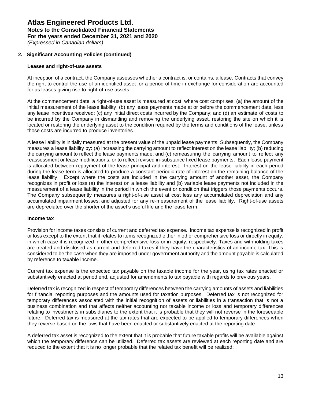#### **Leases and right-of-use assets**

At inception of a contract, the Company assesses whether a contract is, or contains, a lease. Contracts that convey the right to control the use of an identified asset for a period of time in exchange for consideration are accounted for as leases giving rise to right-of-use assets.

At the commencement date, a right-of-use asset is measured at cost, where cost comprises: (a) the amount of the initial measurement of the lease liability; (b) any lease payments made at or before the commencement date, less any lease incentives received; (c) any initial direct costs incurred by the Company; and (d) an estimate of costs to be incurred by the Company in dismantling and removing the underlying asset, restoring the site on which it is located or restoring the underlying asset to the condition required by the terms and conditions of the lease, unless those costs are incurred to produce inventories.

A lease liability is initially measured at the present value of the unpaid lease payments. Subsequently, the Company measures a lease liability by: (a) increasing the carrying amount to reflect interest on the lease liability; (b) reducing the carrying amount to reflect the lease payments made; and (c) remeasuring the carrying amount to reflect any reassessment or lease modifications, or to reflect revised in-substance fixed lease payments. Each lease payment is allocated between repayment of the lease principal and interest. Interest on the lease liability in each period during the lease term is allocated to produce a constant periodic rate of interest on the remaining balance of the lease liability. Except where the costs are included in the carrying amount of another asset, the Company recognizes in profit or loss (a) the interest on a lease liability and (b) variable lease payments not included in the measurement of a lease liability in the period in which the event or condition that triggers those payments occurs. The Company subsequently measures a right-of-use asset at cost less any accumulated depreciation and any accumulated impairment losses; and adjusted for any re-measurement of the lease liability. Right-of-use assets are depreciated over the shorter of the asset's useful life and the lease term.

#### **Income tax**

Provision for income taxes consists of current and deferred tax expense. Income tax expense is recognized in profit or loss except to the extent that it relates to items recognized either in other comprehensive loss or directly in equity, in which case it is recognized in other comprehensive loss or in equity, respectively. Taxes and withholding taxes are treated and disclosed as current and deferred taxes if they have the characteristics of an income tax. This is considered to be the case when they are imposed under government authority and the amount payable is calculated by reference to taxable income.

Current tax expense is the expected tax payable on the taxable income for the year, using tax rates enacted or substantively enacted at period end, adjusted for amendments to tax payable with regards to previous years.

Deferred tax is recognized in respect of temporary differences between the carrying amounts of assets and liabilities for financial reporting purposes and the amounts used for taxation purposes. Deferred tax is not recognized for temporary differences associated with the initial recognition of assets or liabilities in a transaction that is not a business combination and that affects neither accounting nor taxable income or loss and temporary differences relating to investments in subsidiaries to the extent that it is probable that they will not reverse in the foreseeable future. Deferred tax is measured at the tax rates that are expected to be applied to temporary differences when they reverse based on the laws that have been enacted or substantively enacted at the reporting date.

A deferred tax asset is recognized to the extent that it is probable that future taxable profits will be available against which the temporary difference can be utilized. Deferred tax assets are reviewed at each reporting date and are reduced to the extent that it is no longer probable that the related tax benefit will be realized.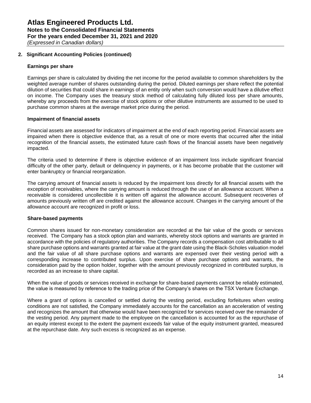#### **Earnings per share**

Earnings per share is calculated by dividing the net income for the period available to common shareholders by the weighted average number of shares outstanding during the period. Diluted earnings per share reflect the potential dilution of securities that could share in earnings of an entity only when such conversion would have a dilutive effect on income. The Company uses the treasury stock method of calculating fully diluted loss per share amounts, whereby any proceeds from the exercise of stock options or other dilutive instruments are assumed to be used to purchase common shares at the average market price during the period.

#### **Impairment of financial assets**

Financial assets are assessed for indicators of impairment at the end of each reporting period. Financial assets are impaired when there is objective evidence that, as a result of one or more events that occurred after the initial recognition of the financial assets, the estimated future cash flows of the financial assets have been negatively impacted.

The criteria used to determine if there is objective evidence of an impairment loss include significant financial difficulty of the other party, default or delinquency in payments, or it has become probable that the customer will enter bankruptcy or financial reorganization.

The carrying amount of financial assets is reduced by the impairment loss directly for all financial assets with the exception of receivables, where the carrying amount is reduced through the use of an allowance account. When a receivable is considered uncollectible it is written off against the allowance account. Subsequent recoveries of amounts previously written off are credited against the allowance account. Changes in the carrying amount of the allowance account are recognized in profit or loss.

#### **Share-based payments**

Common shares issued for non-monetary consideration are recorded at the fair value of the goods or services received. The Company has a stock option plan and warrants, whereby stock options and warrants are granted in accordance with the policies of regulatory authorities. The Company records a compensation cost attributable to all share purchase options and warrants granted at fair value at the grant date using the Black-Scholes valuation model and the fair value of all share purchase options and warrants are expensed over their vesting period with a corresponding increase to contributed surplus. Upon exercise of share purchase options and warrants, the consideration paid by the option holder, together with the amount previously recognized in contributed surplus, is recorded as an increase to share capital.

When the value of goods or services received in exchange for share-based payments cannot be reliably estimated, the value is measured by reference to the trading price of the Company's shares on the TSX Venture Exchange.

Where a grant of options is cancelled or settled during the vesting period, excluding forfeitures when vesting conditions are not satisfied, the Company immediately accounts for the cancellation as an acceleration of vesting and recognizes the amount that otherwise would have been recognized for services received over the remainder of the vesting period. Any payment made to the employee on the cancellation is accounted for as the repurchase of an equity interest except to the extent the payment exceeds fair value of the equity instrument granted, measured at the repurchase date. Any such excess is recognized as an expense.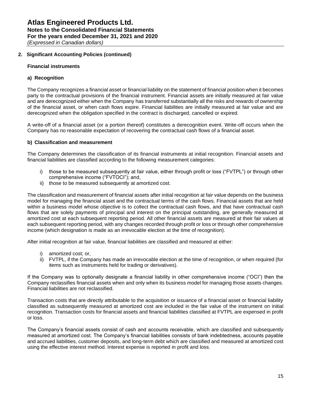#### **Financial instruments**

#### **a) Recognition**

The Company recognizes a financial asset or financial liability on the statement of financial position when it becomes party to the contractual provisions of the financial instrument. Financial assets are initially measured at fair value and are derecognized either when the Company has transferred substantially all the risks and rewards of ownership of the financial asset, or when cash flows expire. Financial liabilities are initially measured at fair value and are derecognized when the obligation specified in the contract is discharged, cancelled or expired.

A write-off of a financial asset (or a portion thereof) constitutes a derecognition event. Write-off occurs when the Company has no reasonable expectation of recovering the contractual cash flows of a financial asset.

#### **b) Classification and measurement**

The Company determines the classification of its financial instruments at initial recognition. Financial assets and financial liabilities are classified according to the following measurement categories:

- i) those to be measured subsequently at fair value, either through profit or loss ("FVTPL") or through other comprehensive income ("FVTOCI"); and,
- ii) those to be measured subsequently at amortized cost.

The classification and measurement of financial assets after initial recognition at fair value depends on the business model for managing the financial asset and the contractual terms of the cash flows. Financial assets that are held within a business model whose objective is to collect the contractual cash flows, and that have contractual cash flows that are solely payments of principal and interest on the principal outstanding, are generally measured at amortized cost at each subsequent reporting period. All other financial assets are measured at their fair values at each subsequent reporting period, with any changes recorded through profit or loss or through other comprehensive income (which designation is made as an irrevocable election at the time of recognition).

After initial recognition at fair value, financial liabilities are classified and measured at either:

- i) amortized cost; or,
- ii) FVTPL, if the Company has made an irrevocable election at the time of recognition, or when required (for items such as instruments held for trading or derivatives).

If the Company was to optionally designate a financial liability in other comprehensive income ("OCI") then the Company reclassifies financial assets when and only when its business model for managing those assets changes. Financial liabilities are not reclassified.

Transaction costs that are directly attributable to the acquisition or issuance of a financial asset or financial liability classified as subsequently measured at amortized cost are included in the fair value of the instrument on initial recognition. Transaction costs for financial assets and financial liabilities classified at FVTPL are expensed in profit or loss.

The Company's financial assets consist of cash and accounts receivable, which are classified and subsequently measured at amortized cost. The Company's financial liabilities consists of bank indebtedness, accounts payable and accrued liabilities, customer deposits, and long-term debt which are classified and measured at amortized cost using the effective interest method. Interest expense is reported in profit and loss.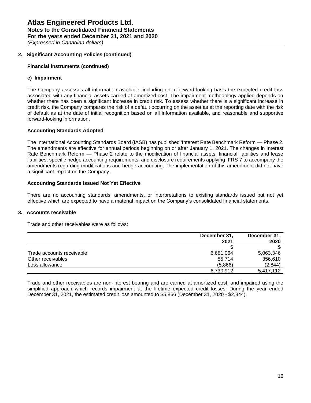#### **Financial instruments (continued)**

#### **c) Impairment**

The Company assesses all information available, including on a forward-looking basis the expected credit loss associated with any financial assets carried at amortized cost. The impairment methodology applied depends on whether there has been a significant increase in credit risk. To assess whether there is a significant increase in credit risk, the Company compares the risk of a default occurring on the asset as at the reporting date with the risk of default as at the date of initial recognition based on all information available, and reasonable and supportive forward-looking information.

#### **Accounting Standards Adopted**

The International Accounting Standards Board (IASB) has published 'Interest Rate Benchmark Reform — Phase 2. The amendments are effective for annual periods beginning on or after January 1, 2021. The changes in Interest Rate Benchmark Reform — Phase 2 relate to the modification of financial assets, financial liabilities and lease liabilities, specific hedge accounting requirements, and disclosure requirements applying IFRS 7 to accompany the amendments regarding modifications and hedge accounting. The implementation of this amendment did not have a significant impact on the Company.

#### **Accounting Standards Issued Not Yet Effective**

There are no accounting standards, amendments, or interpretations to existing standards issued but not yet effective which are expected to have a material impact on the Company's consolidated financial statements.

#### **3. Accounts receivable**

Trade and other receivables were as follows:

|                           | December 31, | December 31, |
|---------------------------|--------------|--------------|
|                           | 2021         | 2020         |
|                           |              |              |
| Trade accounts receivable | 6,681,064    | 5,063,346    |
| Other receivables         | 55,714       | 356,610      |
| Loss allowance            | (5,866)      | (2,844)      |
|                           | 6,730,912    | 5,417,112    |

Trade and other receivables are non-interest bearing and are carried at amortized cost, and impaired using the simplified approach which records impairment at the lifetime expected credit losses. During the year ended December 31, 2021, the estimated credit loss amounted to \$5,866 (December 31, 2020 - \$2,844).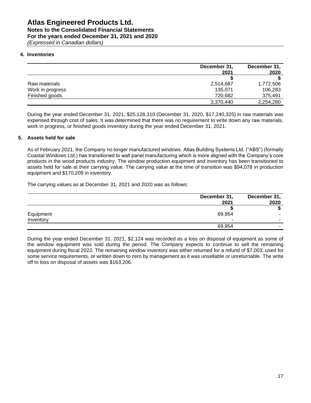**Notes to the Consolidated Financial Statements**

**For the years ended December 31, 2021 and 2020**

*(Expressed in Canadian dollars)*

#### **4. Inventories**

|                  | December 31, | December 31, |
|------------------|--------------|--------------|
|                  | 2021         | 2020         |
|                  |              |              |
| Raw materials    | 2,514,687    | 1,772,506    |
| Work in progress | 135.071      | 106,283      |
| Finished goods   | 720.682      | 375,491      |
|                  | 3,370,440    | 2,254,280    |

During the year ended December 31, 2021, \$25,128,310 (December 31, 2020, \$17,240,325) in raw materials was expensed through cost of sales. It was determined that there was no requirement to write down any raw materials, work in progress, or finished goods inventory during the year ended December 31, 2021.

#### **5. Assets held for sale**

As of February 2021, the Company no longer manufactured windows. Atlas Building Systems Ltd. ("ABS") (formally Coastal Windows Ltd.) has transitioned to wall panel manufacturing which is more aligned with the Company's core products in the wood products industry. The window production equipment and inventory has been transitioned to assets held for sale at their carrying value. The carrying value at the time of transition was \$94,078 in production equipment and \$170,209 in inventory.

The carrying values as at December 31, 2021 and 2020 was as follows:

|           | December 31, | December 31, |
|-----------|--------------|--------------|
|           | 2021         | 2020         |
|           |              |              |
| Equipment | 69,954       |              |
| Inventory | -            |              |
|           | 69,954       |              |

During the year ended December 31, 2021, \$2,124 was recorded as a loss on disposal of equipment as some of the window equipment was sold during the period. The Company expects to continue to sell the remaining equipment during fiscal 2022. The remaining window inventory was either returned for a refund of \$7,003, used for some service requirements, or written down to zero by management as it was unsellable or unreturnable. The write off to loss on disposal of assets was \$163,206.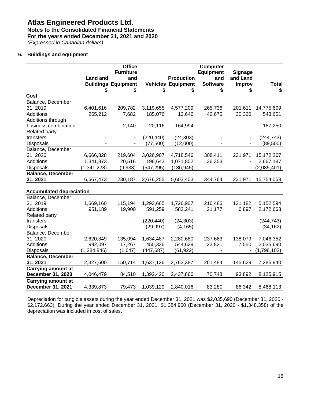### **Notes to the Consolidated Financial Statements**

**For the years ended December 31, 2021 and 2020**

*(Expressed in Canadian dollars)*

#### **6. Buildings and equipment**

|                                 |                 | <b>Office</b>              |            |                           | <b>Computer</b>  |                |              |
|---------------------------------|-----------------|----------------------------|------------|---------------------------|------------------|----------------|--------------|
|                                 |                 | <b>Furniture</b>           |            |                           | <b>Equipment</b> | <b>Signage</b> |              |
|                                 | <b>Land and</b> | and                        |            | <b>Production</b>         | and              | and Land       |              |
|                                 |                 | <b>Buildings Equipment</b> |            | <b>Vehicles Equipment</b> | <b>Software</b>  | <b>Improv</b>  | <b>Total</b> |
|                                 |                 | \$                         | \$         | \$                        | \$               | \$             | \$           |
| Cost                            |                 |                            |            |                           |                  |                |              |
| Balance, December               |                 |                            |            |                           |                  |                |              |
| 31, 2019                        | 6,401,616       | 209,782                    | 3,119,655  | 4,577,209                 | 265,736          | 201,611        | 14,775,609   |
| Additions                       | 265,212         | 7,682                      | 185,076    | 12,646                    | 42,675           | 30,360         | 543,651      |
| Additions through               |                 |                            |            |                           |                  |                |              |
| business combination            |                 | 2,140                      | 20,116     | 164,994                   |                  |                | 187,250      |
| Related party                   |                 |                            |            |                           |                  |                |              |
| transfers                       |                 |                            | (220, 440) | (24, 303)                 |                  |                | (244, 743)   |
| <b>Disposals</b>                |                 |                            | (77, 500)  | (12,000)                  |                  |                | (89, 500)    |
| Balance, December               |                 |                            |            |                           |                  |                |              |
| 31, 2020                        | 6,666,828       | 219,604                    | 3,026,907  | 4,718,546                 | 308,411          | 231,971        | 15,172,267   |
| Additions                       | 1,341,873       | 20,516                     | 196,643    | 1,071,802                 | 36,353           |                | 2,667,187    |
| <b>Disposals</b>                | (1,341,228)     | (9,933)                    | (547, 295) | (186, 945)                |                  |                | (2,085,401)  |
| <b>Balance, December</b>        |                 |                            |            |                           |                  |                |              |
| 31, 2021                        | 6,667,473       | 230,187                    | 2,676,255  | 5,603,403                 | 344,764          | 231,971        | 15,754,053   |
|                                 |                 |                            |            |                           |                  |                |              |
| <b>Accumulated depreciation</b> |                 |                            |            |                           |                  |                |              |
| Balance, December               |                 |                            |            |                           |                  |                |              |
| 31, 2019                        | 1,669,160       | 115,194                    | 1,293,665  | 1,726,907                 | 216,486          | 131,182        | 5,152,594    |
| Additions                       | 951,189         | 19,900                     | 591,259    | 582,241                   | 21,177           | 6,897          | 2,172,663    |
| Related party                   |                 |                            |            |                           |                  |                |              |
| transfers                       |                 |                            | (220, 440) | (24, 303)                 |                  |                | (244, 743)   |
| <b>Disposals</b>                |                 |                            | (29, 997)  | (4, 165)                  |                  |                | (34, 162)    |
| Balance, December               |                 |                            |            |                           |                  |                |              |
| 31, 2020                        | 2,620,349       | 135,094                    | 1,634,487  | 2,280,680                 | 237,663          | 138,079        | 7,046,352    |
| Additions                       | 992,097         | 17,267                     | 450,326    | 544,629                   | 23,821           | 7,550          | 2,035,690    |
| <b>Disposals</b>                | (1, 284, 846)   | (1,647)                    | (447, 687) | (61, 922)                 |                  |                | (1,796,102)  |
| <b>Balance, December</b>        |                 |                            |            |                           |                  |                |              |
| 31, 2021                        | 2,327,600       | 150,714                    | 1,637,126  | 2,763,387                 | 261,484          | 145,629        | 7,285,940    |
| <b>Carrying amount at</b>       |                 |                            |            |                           |                  |                |              |
| December 31, 2020               | 4,046,479       | 84,510                     | 1,392,420  | 2,437,866                 | 70,748           | 93,892         | 8,125,915    |
| <b>Carrying amount at</b>       |                 |                            |            |                           |                  |                |              |
| December 31, 2021               | 4,339,873       | 79,473                     | 1,039,129  | 2,840,016                 | 83,280           | 86,342         | 8,468,113    |

Depreciation for tangible assets during the year ended December 31, 2021 was \$2,035,690 (December 31, 2020 - \$2,172,663). During the year ended December 31, 2021, \$1,384,960 (December 31, 2020 - \$1,348,358) of the depreciation was included in cost of sales.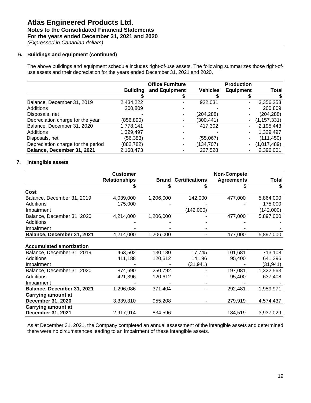#### **6. Buildings and equipment (continued)**

The above buildings and equipment schedule includes right-of-use assets. The following summarizes those right-ofuse assets and their depreciation for the years ended December 31, 2021 and 2020.

|                                    |                 | <b>Office Furniture</b> |           | <b>Production</b> |               |
|------------------------------------|-----------------|-------------------------|-----------|-------------------|---------------|
|                                    | <b>Building</b> | and Equipment           | Vehicles  | <b>Equipment</b>  | <b>Total</b>  |
|                                    |                 |                         |           |                   |               |
| Balance, December 31, 2019         | 2,434,222       |                         | 922,031   |                   | 3,356,253     |
| Additions                          | 200,809         |                         |           |                   | 200.809       |
| Disposals, net                     |                 |                         | (204,288) |                   | (204, 288)    |
| Depreciation charge for the year   | (856,890)       |                         | (300,441) |                   | (1, 157, 331) |
| Balance, December 31, 2020         | 1,778,141       |                         | 417,302   |                   | 2,195,443     |
| Additions                          | 1,329,497       |                         |           |                   | 1,329,497     |
| Disposals, net                     | (56,383)        |                         | (55,067)  |                   | (111, 450)    |
| Depreciation charge for the period | (882,782)       |                         | (134,707) |                   | (1,017,489)   |
| Balance, December 31, 2021         | 2,168,473       |                         | 227.528   |                   | 2,396,001     |

#### **7. Intangible assets**

|                                 | <b>Customer</b>      |              |                       | <b>Non-Compete</b> |              |
|---------------------------------|----------------------|--------------|-----------------------|--------------------|--------------|
|                                 | <b>Relationships</b> | <b>Brand</b> | <b>Certifications</b> | <b>Agreements</b>  | <b>Total</b> |
|                                 |                      |              |                       |                    |              |
| Cost                            |                      |              |                       |                    |              |
| Balance, December 31, 2019      | 4,039,000            | 1,206,000    | 142,000               | 477,000            | 5,864,000    |
| Additions                       | 175,000              |              |                       |                    | 175,000      |
| Impairment                      |                      |              | (142,000)             |                    | (142,000)    |
| Balance, December 31, 2020      | 4,214,000            | 1,206,000    |                       | 477,000            | 5,897,000    |
| Additions                       |                      |              |                       |                    |              |
| Impairment                      |                      |              |                       |                    |              |
| Balance, December 31, 2021      | 4,214,000            | 1,206,000    |                       | 477,000            | 5,897,000    |
|                                 |                      |              |                       |                    |              |
| <b>Accumulated amortization</b> |                      |              |                       |                    |              |
| Balance, December 31, 2019      | 463,502              | 130,180      | 17,745                | 101,681            | 713,108      |
| Additions                       | 411,188              | 120,612      | 14,196                | 95,400             | 641,396      |
| Impairment                      |                      |              | (31,941)              |                    | (31,941)     |
| Balance, December 31, 2020      | 874,690              | 250,792      |                       | 197,081            | 1,322,563    |
| <b>Additions</b>                | 421,396              | 120,612      |                       | 95,400             | 637,408      |
| Impairment                      |                      |              |                       |                    |              |
| Balance, December 31, 2021      | 1,296,086            | 371,404      |                       | 292,481            | 1,959,971    |
| <b>Carrying amount at</b>       |                      |              |                       |                    |              |
| <b>December 31, 2020</b>        | 3,339,310            | 955,208      |                       | 279,919            | 4,574,437    |
| <b>Carrying amount at</b>       |                      |              |                       |                    |              |
| <b>December 31, 2021</b>        | 2,917,914            | 834,596      |                       | 184,519            | 3,937,029    |

As at December 31, 2021, the Company completed an annual assessment of the intangible assets and determined there were no circumstances leading to an impairment of these intangible assets.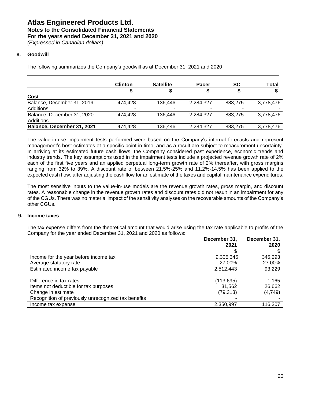#### **8. Goodwill**

The following summarizes the Company's goodwill as at December 31, 2021 and 2020

|                            | <b>Clinton</b> | <b>Satellite</b> | <b>Pacer</b> | <b>SC</b> | Total     |
|----------------------------|----------------|------------------|--------------|-----------|-----------|
|                            |                |                  |              |           |           |
| Cost                       |                |                  |              |           |           |
| Balance, December 31, 2019 | 474.428        | 136.446          | 2.284.327    | 883.275   | 3,778,476 |
| Additions                  |                |                  |              |           |           |
| Balance, December 31, 2020 | 474.428        | 136.446          | 2.284.327    | 883.275   | 3,778,476 |
| Additions                  |                |                  |              |           |           |
| Balance, December 31, 2021 | 474.428        | 136.446          | 2,284,327    | 883.275   | 3,778,476 |

The value-in-use impairment tests performed were based on the Company's internal forecasts and represent management's best estimates at a specific point in time, and as a result are subject to measurement uncertainty. In arriving at its estimated future cash flows, the Company considered past experience, economic trends and industry trends. The key assumptions used in the impairment tests include a projected revenue growth rate of 2% each of the first five years and an applied perpetual long-term growth rate of 2% thereafter, with gross margins ranging from 32% to 39%. A discount rate of between 21.5%-25% and 11.2%-14.5% has been applied to the expected cash flow, after adjusting the cash flow for an estimate of the taxes and capital maintenance expenditures.

The most sensitive inputs to the value-in-use models are the revenue growth rates, gross margin, and discount rates. A reasonable change in the revenue growth rates and discount rates did not result in an impairment for any of the CGUs. There was no material impact of the sensitivity analyses on the recoverable amounts of the Company's other CGUs.

#### **9. Income taxes**

The tax expense differs from the theoretical amount that would arise using the tax rate applicable to profits of the Company for the year ended December 31, 2021 and 2020 as follows:

|                                                     | December 31,<br>2021 | December 31,<br>2020 |
|-----------------------------------------------------|----------------------|----------------------|
|                                                     |                      |                      |
| Income for the year before income tax               | 9,305,345            | 345,293              |
| Average statutory rate                              | 27.00%               | 27.00%               |
| Estimated income tax payable                        | 2,512,443            | 93,229               |
| Difference in tax rates                             | (113, 695)           | 1,165                |
| Items not deductible for tax purposes               | 31.562               | 26,662               |
| Change in estimate                                  | (79, 313)            | (4,749)              |
| Recognition of previously unrecognized tax benefits |                      |                      |
| Income tax expense                                  | 2,350,997            | 116,307              |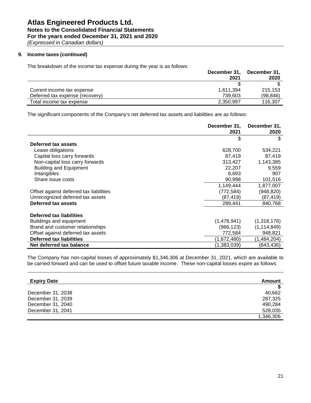#### **9. Income taxes (continued)**

The breakdown of the income tax expense during the year is as follows:

|                                 | December 31, | December 31, |
|---------------------------------|--------------|--------------|
|                                 | 2021         | 2020         |
|                                 |              |              |
| Current income tax expense      | 1.611.394    | 215,153      |
| Deferred tax expense (recovery) | 739.603      | (98, 846)    |
| Total income tax expense        | 2,350,997    | 116,307      |

The significant components of the Company's net deferred tax assets and liabilities are as follows:

|                                         | December 31,<br>2021 | December 31,<br>2020 |
|-----------------------------------------|----------------------|----------------------|
|                                         | \$                   | \$                   |
| Deferred tax assets                     |                      |                      |
| Lease obligations                       | 628,700              | 534,221              |
| Capital loss carry forwards             | 87,419               | 87,419               |
| Non-capital loss carry forwards         | 313,427              | 1,143,385            |
| <b>Building and Equipment</b>           | 22,207               | 9,559                |
| Intangibles                             | 6,693                | 907                  |
| Share issue costs                       | 90,998               | 101,516              |
|                                         | 1,149,444            | 1,877,007            |
| Offset against deferred tax liabilities | (772, 584)           | (948, 820)           |
| Unrecognized deferred tax assets        | (87,419)             | (87,419)             |
| Deferred tax assets                     | 289,441              | 840,768              |
| Deferred tax liabilities                |                      |                      |
| Buildings and equipment                 | (1,478,941)          | (1,318,176)          |
| Brand and customer relationships        | (966, 123)           | (1, 114, 849)        |
| Offset against deferred tax assets      | 772,584              | 948,821              |
| <b>Deferred tax liabilities</b>         | (1,672,480)          | (1,484,204)          |
| Net deferred tax balance                | (1,383,039)          | (643,436)            |

The Company has non-capital losses of approximately \$1,346,306 at December 31, 2021, which are available to be carried forward and can be used to offset future taxable income. These non-capital losses expire as follows:

| <b>Expiry Date</b> | Amount    |
|--------------------|-----------|
|                    |           |
| December 31, 2038  | 40,662    |
| December 31, 2039  | 287,325   |
| December 31, 2040  | 490.284   |
| December 31, 2041  | 528,035   |
|                    | 1,346,306 |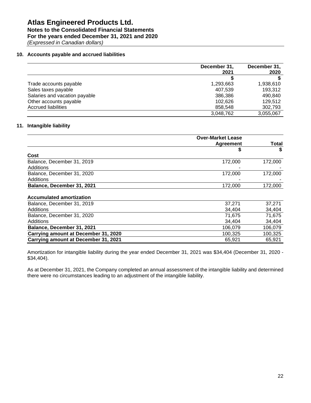### **Notes to the Consolidated Financial Statements**

**For the years ended December 31, 2021 and 2020**

*(Expressed in Canadian dollars)*

#### **10. Accounts payable and accrued liabilities**

|                               | December 31, | December 31, |
|-------------------------------|--------------|--------------|
|                               | 2021         | 2020         |
|                               |              |              |
| Trade accounts payable        | 1,293,663    | 1,938,610    |
| Sales taxes payable           | 407.539      | 193.312      |
| Salaries and vacation payable | 386,386      | 490.840      |
| Other accounts payable        | 102.626      | 129.512      |
| <b>Accrued liabilities</b>    | 858.548      | 302,793      |
|                               | 3,048,762    | 3,055,067    |

#### **11. Intangible liability**

|                            | <b>Over-Market Lease</b> |              |
|----------------------------|--------------------------|--------------|
|                            | Agreement                | <b>Total</b> |
|                            |                          | \$           |
| Cost                       |                          |              |
| Balance, December 31, 2019 | 172,000                  | 172,000      |
| <b>Additions</b>           |                          |              |
| Balance, December 31, 2020 | 172,000                  | 172,000      |
| <b>Additions</b>           |                          |              |
| Balance, December 31, 2021 | 172,000                  | 172,000      |
|                            |                          |              |

### **Accumulated amortization**

| 37.271  | 37.271  |
|---------|---------|
| 34.404  | 34,404  |
| 71.675  | 71.675  |
| 34.404  | 34,404  |
| 106.079 | 106,079 |
| 100.325 | 100,325 |
| 65.921  | 65,921  |
|         |         |

Amortization for intangible liability during the year ended December 31, 2021 was \$34,404 (December 31, 2020 - \$34,404).

As at December 31, 2021, the Company completed an annual assessment of the intangible liability and determined there were no circumstances leading to an adjustment of the intangible liability.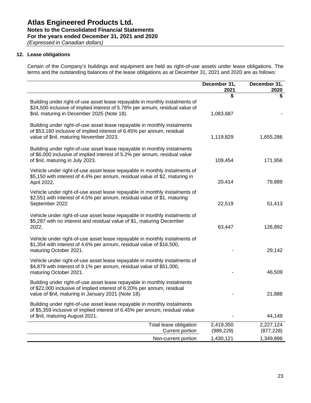#### **12. Lease obligations**

Certain of the Company's buildings and equipment are held as right-of-use assets under lease obligations. The terms and the outstanding balances of the lease obligations as at December 31, 2021 and 2020 are as follows:

|                                                                                                                                                                                                            | December 31,<br>2021    | December 31,<br>2020    |
|------------------------------------------------------------------------------------------------------------------------------------------------------------------------------------------------------------|-------------------------|-------------------------|
| Building under right-of-use asset lease repayable in monthly instalments of<br>\$24,500 inclusive of implied interest of 5.78% per annum, residual value of<br>\$nil, maturing in December 2025 (Note 18). | \$<br>1,083,687         | \$                      |
| Building under right-of-use asset lease repayable in monthly instalments<br>of \$53,160 inclusive of implied interest of 6.45% per annum, residual<br>value of \$nil, maturing November 2023.              | 1,119,829               | 1,655,286               |
| Building under right-of-use asset lease repayable in monthly instalments<br>of \$6,000 inclusive of implied interest of 5.2% per annum, residual value<br>of \$nil, maturing in July 2023.                 | 109,454                 | 171,956                 |
| Vehicle under right-of-use asset lease repayable in monthly instalments of<br>\$5,150 with interest of 4.4% per annum, residual value of \$2, maturing in<br>April 2022.                                   | 20,414                  | 79,889                  |
| Vehicle under right-of-use asset lease repayable in monthly instalments of<br>\$2,551 with interest of 4.5% per annum, residual value of \$1, maturing<br>September 2022                                   | 22,519                  | 51,413                  |
| Vehicle under right-of-use asset lease repayable in monthly instalments of<br>\$5,287 with no interest and residual value of \$1, maturing December<br>2022.                                               | 63,447                  | 126,892                 |
| Vehicle under right-of-use asset lease repayable in monthly instalments of<br>\$1,354 with interest of 4.6% per annum, residual value of \$16,500,<br>maturing October 2021.                               |                         | 29,142                  |
| Vehicle under right-of-use asset lease repayable in monthly instalments of<br>\$4,879 with interest of 9.1% per annum, residual value of \$51,000,<br>maturing October 2021.                               |                         | 46,509                  |
| Building under right-of-use asset lease repayable in monthly instalments<br>of \$22,000 inclusive of implied interest of 6.20% per annum, residual<br>value of \$nil, maturing in January 2021 (Note 18).  |                         | 21,888                  |
| Building under right-of-use asset lease repayable in monthly instalments<br>of \$5,359 inclusive of implied interest of 6.45% per annum, residual value<br>of \$nil, maturing August 2021.                 |                         | 44,149                  |
| Total lease obligation<br>Current portion                                                                                                                                                                  | 2,419,350<br>(989, 229) | 2,227,124<br>(877, 228) |
| Non-current portion                                                                                                                                                                                        | 1,430,121               | 1,349,896               |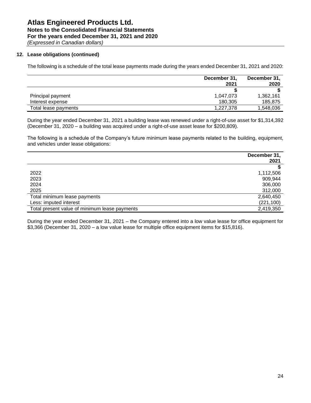#### **12. Lease obligations (continued)**

The following is a schedule of the total lease payments made during the years ended December 31, 2021 and 2020:

|                      | December 31, | December 31, |
|----------------------|--------------|--------------|
|                      | 2021         | 2020         |
|                      |              |              |
| Principal payment    | 1,047,073    | 1,362,161    |
| Interest expense     | 180.305      | 185,875      |
| Total lease payments | 1,227,378    | 1,548,036    |

During the year ended December 31, 2021 a building lease was renewed under a right-of-use asset for \$1,314,392 (December 31, 2020 – a building was acquired under a right-of-use asset lease for \$200,809).

The following is a schedule of the Company's future minimum lease payments related to the building, equipment, and vehicles under lease obligations:

|                                               | December 31,<br>2021 |
|-----------------------------------------------|----------------------|
|                                               |                      |
| 2022                                          | 1,112,506            |
| 2023                                          | 909,944              |
| 2024                                          | 306,000              |
| 2025                                          | 312,000              |
| Total minimum lease payments                  | 2,640,450            |
| Less: imputed interest                        | (221, 100)           |
| Total present value of minimum lease payments | 2,419,350            |

During the year ended December 31, 2021 – the Company entered into a low value lease for office equipment for \$3,366 (December 31, 2020 – a low value lease for multiple office equipment items for \$15,816).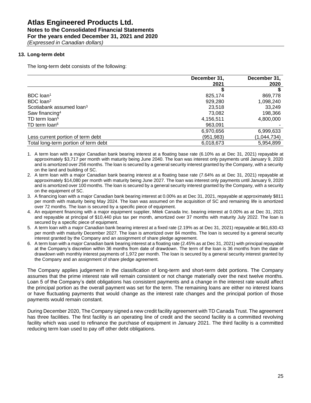#### **Notes to the Consolidated Financial Statements**

**For the years ended December 31, 2021 and 2020**

*(Expressed in Canadian dollars)*

#### **13. Long-term debt**

The long-term debt consists of the following:

|                                      | December 31, | December 31, |
|--------------------------------------|--------------|--------------|
|                                      | 2021         | 2020         |
|                                      |              |              |
| $BDC$ loan <sup>1</sup>              | 825,174      | 869,778      |
| BDC loan <sup>2</sup>                | 929,280      | 1,098,240    |
| Scotiabank assumed loan <sup>3</sup> | 23.518       | 33.249       |
| Saw financing <sup>4</sup>           | 73.082       | 198,366      |
| TD term loan <sup>5</sup>            | 4,156,511    | 4,800,000    |
| TD term loan <sup>6</sup>            | 963,091      |              |
|                                      | 6,970,656    | 6,999,633    |
| Less current portion of term debt    | (951,983)    | (1,044,734)  |
| Total long-term portion of term debt | 6,018,673    | 5,954,899    |

1. A term loan with a major Canadian bank bearing interest at a floating base rate (6.10% as at Dec 31, 2021) repayable at approximately \$3,717 per month with maturity being June 2040. The loan was interest only payments until January 9, 2020 and is amortized over 256 months. The loan is secured by a general security interest granted by the Company, with a security on the land and building of SC.

2. A term loan with a major Canadian bank bearing interest at a floating base rate (7.64% as at Dec 31, 2021) repayable at approximately \$14,080 per month with maturity being June 2027. The loan was interest only payments until January 9, 2020 and is amortized over 100 months. The loan is secured by a general security interest granted by the Company, with a security on the equipment of SC.

3. A financing loan with a major Canadian bank bearing interest at 0.00% as at Dec 31, 2021, repayable at approximately \$811 per month with maturity being May 2024. The loan was assumed on the acquisition of SC and remaining life is amortized over 72 months. The loan is secured by a specific piece of equipment.

4. An equipment financing with a major equipment supplier, Mitek Canada Inc. bearing interest at 0.00% as at Dec 31, 2021 and repayable at principal of \$10,440 plus tax per month, amortized over 37 months with maturity July 2022. The loan is secured by a specific piece of equipment.

- 5. A term loan with a major Canadian bank bearing interest at a fixed rate (2.19% as at Dec 31, 2021) repayable at \$61,630.43 per month with maturity December 2027. The loan is amortized over 84 months. The loan is secured by a general security interest granted by the Company and an assignment of share pledge agreement.
- 6. A term loan with a major Canadian bank bearing interest at a floating rate (2.45% as at Dec 31, 2021) with principal repayable at the Company's discretion within 36 months from date of drawdown. The term of the loan is 36 months from the date of drawdown with monthly interest payments of 1,972 per month. The loan is secured by a general security interest granted by the Company and an assignment of share pledge agreement.

The Company applies judgement in the classification of long-term and short-term debt portions. The Company assumes that the prime interest rate will remain consistent or not change materially over the next twelve months. Loan 5 of the Company's debt obligations has consistent payments and a change in the interest rate would affect the principal portion as the overall payment was set for the term. The remaining loans are either no interest loans or have fluctuating payments that would change as the interest rate changes and the principal portion of those payments would remain constant.

During December 2020, The Company signed a new credit facility agreement with TD Canada Trust. The agreement has three facilities. The first facility is an operating line of credit and the second facility is a committed revolving facility which was used to refinance the purchase of equipment in January 2021. The third facility is a committed reducing term loan used to pay off other debt obligations.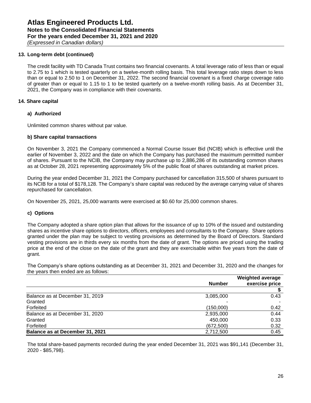#### **13. Long-term debt (continued)**

The credit facility with TD Canada Trust contains two financial covenants. A total leverage ratio of less than or equal to 2.75 to 1 which is tested quarterly on a twelve-month rolling basis. This total leverage ratio steps down to less than or equal to 2.50 to 1 on December 31, 2022. The second financial covenant is a fixed charge coverage ratio of greater than or equal to 1.15 to 1 to be tested quarterly on a twelve-month rolling basis. As at December 31, 2021, the Company was in compliance with their covenants.

#### **14. Share capital**

#### **a) Authorized**

Unlimited common shares without par value.

#### **b) Share capital transactions**

On November 3, 2021 the Company commenced a Normal Course Issuer Bid (NCIB) which is effective until the earlier of November 3, 2022 and the date on which the Company has purchased the maximum permitted number of shares. Pursuant to the NCIB, the Company may purchase up to 2,886,286 of its outstanding common shares as at October 28, 2021 representing approximately 5% of the public float of shares outstanding at market prices.

During the year ended December 31, 2021 the Company purchased for cancellation 315,500 of shares pursuant to its NCIB for a total of \$178,128. The Company's share capital was reduced by the average carrying value of shares repurchased for cancellation.

On November 25, 2021, 25,000 warrants were exercised at \$0.60 for 25,000 common shares.

#### **c) Options**

The Company adopted a share option plan that allows for the issuance of up to 10% of the issued and outstanding shares as incentive share options to directors, officers, employees and consultants to the Company. Share options granted under the plan may be subject to vesting provisions as determined by the Board of Directors. Standard vesting provisions are in thirds every six months from the date of grant. The options are priced using the trading price at the end of the close on the date of the grant and they are exercisable within five years from the date of grant.

The Company's share options outstanding as at December 31, 2021 and December 31, 2020 and the changes for the years then ended are as follows:

|                                 |               | <b>Weighted average</b> |
|---------------------------------|---------------|-------------------------|
|                                 | <b>Number</b> | exercise price          |
|                                 |               |                         |
| Balance as at December 31, 2019 | 3,085,000     | 0.43                    |
| Granted                         | ۰             |                         |
| Forfeited                       | (150,000)     | 0.42                    |
| Balance as at December 31, 2020 | 2,935,000     | 0.44                    |
| Granted                         | 450,000       | 0.33                    |
| Forfeited                       | (672,500)     | 0.32                    |
| Balance as at December 31, 2021 | 2,712,500     | 0.45                    |

The total share-based payments recorded during the year ended December 31, 2021 was \$91,141 (December 31, 2020 - \$85,798).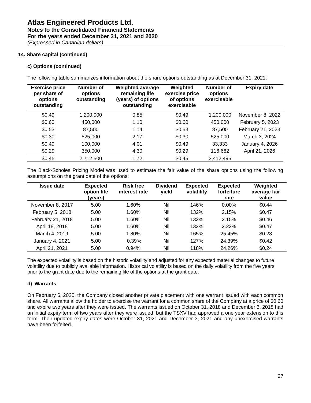#### **14. Share capital (continued)**

#### **c) Options (continued)**

The following table summarizes information about the share options outstanding as at December 31, 2021:

| <b>Exercise price</b><br>per share of<br>options<br>outstanding | Number of<br>options<br>outstanding | <b>Weighted average</b><br>remaining life<br>(years) of options<br>outstanding | Weighted<br>exercise price<br>of options<br>exercisable | Number of<br>options<br>exercisable | <b>Expiry date</b> |
|-----------------------------------------------------------------|-------------------------------------|--------------------------------------------------------------------------------|---------------------------------------------------------|-------------------------------------|--------------------|
| \$0.49                                                          | 1,200,000                           | 0.85                                                                           | \$0.49                                                  | 1,200,000                           | November 8, 2022   |
| \$0.60                                                          | 450,000                             | 1.10                                                                           | \$0.60                                                  | 450,000                             | February 5, 2023   |
| \$0.53                                                          | 87,500                              | 1.14                                                                           | \$0.53                                                  | 87,500                              | February 21, 2023  |
| \$0.30                                                          | 525,000                             | 2.17                                                                           | \$0.30                                                  | 525,000                             | March 3, 2024      |
| \$0.49                                                          | 100,000                             | 4.01                                                                           | \$0.49                                                  | 33,333                              | January 4, 2026    |
| \$0.29                                                          | 350,000                             | 4.30                                                                           | \$0.29                                                  | 116,662                             | April 21, 2026     |
| \$0.45                                                          | 2,712,500                           | 1.72                                                                           | \$0.45                                                  | 2,412,495                           |                    |

The Black-Scholes Pricing Model was used to estimate the fair value of the share options using the following assumptions on the grant date of the options:

| <b>Issue date</b> | <b>Expected</b><br>option life<br>(years) | <b>Risk free</b><br>interest rate | <b>Dividend</b><br>yield | <b>Expected</b><br>volatility | <b>Expected</b><br>forfeiture<br>rate | Weighted<br>average fair<br>value |
|-------------------|-------------------------------------------|-----------------------------------|--------------------------|-------------------------------|---------------------------------------|-----------------------------------|
| November 8, 2017  | 5.00                                      | 1.60%                             | Nil                      | 146%                          | $0.00\%$                              | \$0.44                            |
| February 5, 2018  | 5.00                                      | 1.60%                             | Nil                      | 132%                          | 2.15%                                 | \$0.47                            |
| February 21, 2018 | 5.00                                      | 1.60%                             | Nil                      | 132%                          | 2.15%                                 | \$0.46                            |
| April 18, 2018    | 5.00                                      | 1.60%                             | Nil                      | 132%                          | 2.22%                                 | \$0.47                            |
| March 4, 2019     | 5.00                                      | 1.80%                             | Nil                      | 165%                          | 25.45%                                | \$0.28                            |
| January 4, 2021   | 5.00                                      | 0.39%                             | Nil                      | 127%                          | 24.39%                                | \$0.42                            |
| April 21, 2021    | 5.00                                      | 0.94%                             | Nil                      | 118%                          | 24.26%                                | \$0.24                            |

The expected volatility is based on the historic volatility and adjusted for any expected material changes to future volatility due to publicly available information. Historical volatility is based on the daily volatility from the five years prior to the grant date due to the remaining life of the options at the grant date.

#### **d) Warrants**

On February 6, 2020, the Company closed another private placement with one warrant issued with each common share. All warrants allow the holder to exercise the warrant for a common share of the Company at a price of \$0.60 and expire two years after they were issued. The warrants issued on October 31, 2018 and December 3, 2018 had an initial expiry term of two years after they were issued, but the TSXV had approved a one year extension to this term. Their updated expiry dates were October 31, 2021 and December 3, 2021 and any unexercised warrants have been forfeited.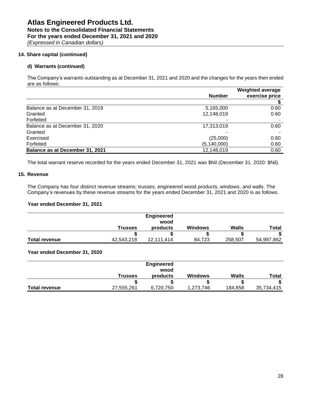#### **14. Share capital (continued)**

#### **d) Warrants (continued)**

The Company's warrants outstanding as at December 31, 2021 and 2020 and the changes for the years then ended are as follows:

|                                 | <b>Weighted average</b> |                |  |
|---------------------------------|-------------------------|----------------|--|
|                                 | <b>Number</b>           | exercise price |  |
|                                 |                         |                |  |
| Balance as at December 31, 2019 | 5,165,000               | 0.60           |  |
| Granted                         | 12,148,019              | 0.60           |  |
| Forfeited                       |                         |                |  |
| Balance as at December 31, 2020 | 17,313,019              | 0.60           |  |
| Granted                         |                         |                |  |
| Exercised                       | (25,000)                | 0.60           |  |
| Forfeited                       | (5, 140, 000)           | 0.60           |  |
| Balance as at December 31, 2021 | 12,148,019              | 0.60           |  |

The total warrant reserve recorded for the years ended December 31, 2021 was \$Nil (December 31, 2020: \$Nil).

#### **15. Revenue**

The Company has four distinct revenue streams: trusses, engineered wood products, windows, and walls. The Company's revenues by these revenue streams for the years ended December 31, 2021 and 2020 is as follows.

#### **Year ended December 31, 2021**

|                      |            | <b>Engineered</b><br>wood |                |         |            |
|----------------------|------------|---------------------------|----------------|---------|------------|
|                      | Trusses    | products                  | <b>Windows</b> | Walls   | Total      |
|                      |            |                           |                |         |            |
| <b>Total revenue</b> | 42,543,218 | 12.111.414                | 84.723         | 258,507 | 54,997,862 |

#### **Year ended December 31, 2020**

|                      |            | <b>Engineered</b><br>wood |                |         |            |
|----------------------|------------|---------------------------|----------------|---------|------------|
|                      | Trusses    | products                  | <b>Windows</b> | Walls   | Total      |
|                      |            |                           |                |         |            |
| <b>Total revenue</b> | 27,555,261 | 6,720,750                 | 1,273,746      | 184,658 | 35,734,415 |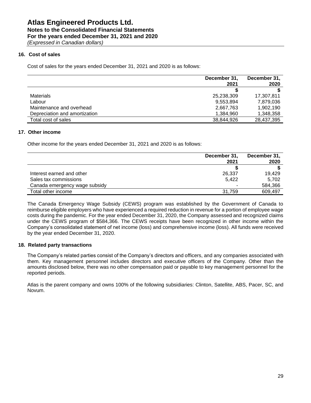### **Notes to the Consolidated Financial Statements**

**For the years ended December 31, 2021 and 2020**

*(Expressed in Canadian dollars)*

#### **16. Cost of sales**

Cost of sales for the years ended December 31, 2021 and 2020 is as follows:

|                               | December 31, | December 31, |
|-------------------------------|--------------|--------------|
|                               | 2021         | 2020         |
|                               |              |              |
| <b>Materials</b>              | 25,238,309   | 17.307.811   |
| Labour                        | 9,553,894    | 7,879,036    |
| Maintenance and overhead      | 2,667,763    | 1.902.190    |
| Depreciation and amortization | 1,384,960    | 1,348,358    |
| Total cost of sales           | 38,844,926   | 28,437,395   |

#### **17. Other income**

Other income for the years ended December 31, 2021 and 2020 is as follows:

|                               | December 31, | December 31, |
|-------------------------------|--------------|--------------|
|                               | 2021         | 2020         |
|                               |              |              |
| Interest earned and other     | 26.337       | 19.429       |
| Sales tax commissions         | 5.422        | 5.702        |
| Canada emergency wage subsidy |              | 584,366      |
| Total other income            | 31.759       | 609,497      |

The Canada Emergency Wage Subsidy (CEWS) program was established by the Government of Canada to reimburse eligible employers who have experienced a required reduction in revenue for a portion of employee wage costs during the pandemic. For the year ended December 31, 2020, the Company assessed and recognized claims under the CEWS program of \$584,366. The CEWS receipts have been recognized in other income within the Company's consolidated statement of net income (loss) and comprehensive income (loss). All funds were received by the year ended December 31, 2020.

#### **18. Related party transactions**

The Company's related parties consist of the Company's directors and officers, and any companies associated with them. Key management personnel includes directors and executive officers of the Company. Other than the amounts disclosed below, there was no other compensation paid or payable to key management personnel for the reported periods.

Atlas is the parent company and owns 100% of the following subsidiaries: Clinton, Satellite, ABS, Pacer, SC, and Novum.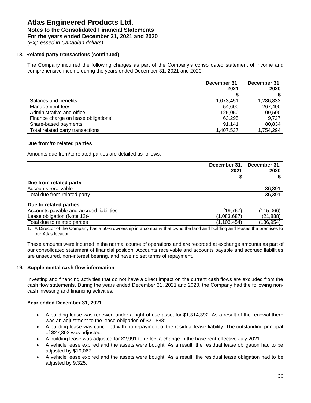#### **18. Related party transactions (continued)**

The Company incurred the following charges as part of the Company's consolidated statement of income and comprehensive income during the years ended December 31, 2021 and 2020:

|                                                  | December 31,<br>2021 | December 31,<br>2020 |
|--------------------------------------------------|----------------------|----------------------|
|                                                  |                      |                      |
| Salaries and benefits                            | 1,073,451            | 1,286,833            |
| Management fees                                  | 54.600               | 267,400              |
| Administrative and office                        | 125.050              | 109,500              |
| Finance charge on lease obligations <sup>1</sup> | 63.295               | 9.727                |
| Share-based payments                             | 91.141               | 80,834               |
| Total related party transactions                 | 1.407.537            | 1,754,294            |

#### **Due from/to related parties**

Amounts due from/to related parties are detailed as follows:

|                                            | December 31, | December 31, |
|--------------------------------------------|--------------|--------------|
|                                            | 2021         | 2020         |
|                                            |              |              |
| Due from related party                     |              |              |
| Accounts receivable                        |              | 36,391       |
| Total due from related party               |              | 36,391       |
| Due to related parties                     |              |              |
| Accounts payable and accrued liabilities   | (19,767)     | (115,066)    |
| Lease obligation (Note $12$ ) <sup>1</sup> | (1,083,687)  | (21, 888)    |

Total due to related parties (1,103,454) (136,954) 1. A Director of the Company has a 50% ownership in a company that owns the land and building and leases the premises to our Atlas location.

These amounts were incurred in the normal course of operations and are recorded at exchange amounts as part of our consolidated statement of financial position. Accounts receivable and accounts payable and accrued liabilities are unsecured, non-interest bearing, and have no set terms of repayment.

#### **19. Supplemental cash flow information**

Investing and financing activities that do not have a direct impact on the current cash flows are excluded from the cash flow statements. During the years ended December 31, 2021 and 2020, the Company had the following noncash investing and financing activities:

#### **Year ended December 31, 2021**

- A building lease was renewed under a right-of-use asset for \$1,314,392. As a result of the renewal there was an adjustment to the lease obligation of \$21,888;
- A building lease was cancelled with no repayment of the residual lease liability. The outstanding principal of \$27,803 was adjusted.
- A building lease was adjusted for \$2,991 to reflect a change in the base rent effective July 2021.
- A vehicle lease expired and the assets were bought. As a result, the residual lease obligation had to be adjusted by \$19,067.
- A vehicle lease expired and the assets were bought. As a result, the residual lease obligation had to be adjusted by 9,325.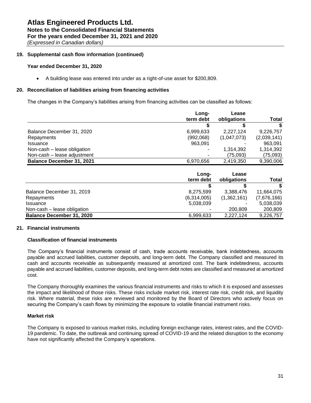#### **19. Supplemental cash flow information (continued)**

#### **Year ended December 31, 2020**

• A building lease was entered into under as a right-of-use asset for \$200,809.

#### **20. Reconciliation of liabilities arising from financing activities**

The changes in the Company's liabilities arising from financing activities can be classified as follows:

|                                  | Long-<br>term debt | Lease<br>obligations | Total       |
|----------------------------------|--------------------|----------------------|-------------|
|                                  |                    |                      |             |
| Balance December 31, 2020        | 6,999,633          | 2.227.124            | 9,226,757   |
| Repayments                       | (992,068)          | (1,047,073)          | (2,039,141) |
| <b>Issuance</b>                  | 963,091            |                      | 963.091     |
| Non-cash - lease obligation      |                    | 1,314,392            | 1,314,392   |
| Non-cash - lease adjustment      |                    | (75,093)             | (75,093)    |
| <b>Balance December 31, 2021</b> | 6.970.656          | 2.419.350            | 9.390.006   |

|                                  | Long-       | Lease       |              |
|----------------------------------|-------------|-------------|--------------|
|                                  | term debt   | obligations | <b>Total</b> |
|                                  |             |             | Ŝ.           |
| Balance December 31, 2019        | 8,275,599   | 3,388,476   | 11,664,075   |
| Repayments                       | (6,314,005) | (1,362,161) | (7,676,166)  |
| <b>Issuance</b>                  | 5,038,039   |             | 5,038,039    |
| Non-cash - lease obligation      |             | 200.809     | 200,809      |
| <b>Balance December 31, 2020</b> | 6,999,633   | 2,227,124   | 9,226,757    |

#### **21. Financial instruments**

#### **Classification of financial instruments**

The Company's financial instruments consist of cash, trade accounts receivable, bank indebtedness, accounts payable and accrued liabilities, customer deposits, and long-term debt. The Company classified and measured its cash and accounts receivable as subsequently measured at amortized cost. The bank indebtedness, accounts payable and accrued liabilities, customer deposits, and long-term debt notes are classified and measured at amortized cost.

The Company thoroughly examines the various financial instruments and risks to which it is exposed and assesses the impact and likelihood of those risks. These risks include market risk, interest rate risk, credit risk, and liquidity risk. Where material, these risks are reviewed and monitored by the Board of Directors who actively focus on securing the Company's cash flows by minimizing the exposure to volatile financial instrument risks.

#### **Market risk**

The Company is exposed to various market risks, including foreign exchange rates, interest rates, and the COVID-19 pandemic. To date, the outbreak and continuing spread of COVID-19 and the related disruption to the economy have not significantly affected the Company's operations.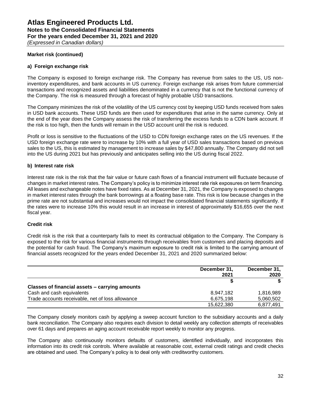*(Expressed in Canadian dollars)*

#### **Market risk (continued)**

#### **a) Foreign exchange risk**

The Company is exposed to foreign exchange risk. The Company has revenue from sales to the US, US noninventory expenditures, and bank accounts in US currency. Foreign exchange risk arises from future commercial transactions and recognized assets and liabilities denominated in a currency that is not the functional currency of the Company. The risk is measured through a forecast of highly probable USD transactions.

The Company minimizes the risk of the volatility of the US currency cost by keeping USD funds received from sales in USD bank accounts. These USD funds are then used for expenditures that arise in the same currency. Only at the end of the year does the Company assess the risk of transferring the excess funds to a CDN bank account. If the risk is too high, then the funds will remain in the USD account until the risk is reduced.

Profit or loss is sensitive to the fluctuations of the USD to CDN foreign exchange rates on the US revenues. If the USD foreign exchange rate were to increase by 10% with a full year of USD sales transactions based on previous sales to the US, this is estimated by management to increase sales by \$47,800 annually. The Company did not sell into the US during 2021 but has previously and anticipates selling into the US during fiscal 2022.

#### **b) Interest rate risk**

Interest rate risk is the risk that the fair value or future cash flows of a financial instrument will fluctuate because of changes in market interest rates. The Company's policy is to minimize interest rate risk exposures on term financing. All leases and exchangeable notes have fixed rates. As at December 31, 2021, the Company is exposed to changes in market interest rates through the bank borrowings at a floating base rate. This risk is low because changes in the prime rate are not substantial and increases would not impact the consolidated financial statements significantly. If the rates were to increase 10% this would result in an increase in interest of approximately \$16,655 over the next fiscal year.

#### **Credit risk**

Credit risk is the risk that a counterparty fails to meet its contractual obligation to the Company. The Company is exposed to the risk for various financial instruments through receivables from customers and placing deposits and the potential for cash fraud. The Company's maximum exposure to credit risk is limited to the carrying amount of financial assets recognized for the years ended December 31, 2021 and 2020 summarized below:

|                                                  | December 31, | December 31, |
|--------------------------------------------------|--------------|--------------|
|                                                  | 2021         | 2020         |
|                                                  |              |              |
| Classes of financial assets - carrying amounts   |              |              |
| Cash and cash equivalents                        | 8,947,182    | 1,816,989    |
| Trade accounts receivable, net of loss allowance | 6.675.198    | 5,060,502    |
|                                                  | 15,622,380   | 6,877,491    |

The Company closely monitors cash by applying a sweep account function to the subsidiary accounts and a daily bank reconciliation. The Company also requires each division to detail weekly any collection attempts of receivables over 61 days and prepares an aging account receivable report weekly to monitor any progress.

The Company also continuously monitors defaults of customers, identified individually, and incorporates this information into its credit risk controls. Where available at reasonable cost, external credit ratings and credit checks are obtained and used. The Company's policy is to deal only with creditworthy customers.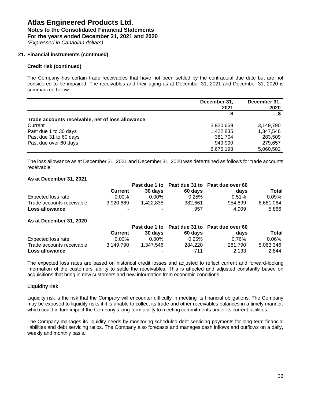*(Expressed in Canadian dollars)*

#### **21. Financial instruments (continued)**

#### **Credit risk (continued)**

The Company has certain trade receivables that have not been settled by the contractual due date but are not considered to be impaired. The receivables and their aging as at December 31, 2021 and December 31, 2020 is summarized below:

|                                                  | December 31, | December 31, |  |
|--------------------------------------------------|--------------|--------------|--|
|                                                  | 2021         | 2020         |  |
|                                                  |              |              |  |
| Trade accounts receivable, net of loss allowance |              |              |  |
| Current                                          | 3.920.669    | 3.149.790    |  |
| Past due 1 to 30 days                            | 1,422,835    | 1,347,546    |  |
| Past due 31 to 60 days                           | 381.704      | 283,509      |  |
| Past due over 60 days                            | 949.990      | 279,657      |  |
|                                                  | 6,675,198    | 5,060,502    |  |

The loss allowance as at December 31, 2021 and December 31, 2020 was determined as follows for trade accounts receivable:

#### **As at December 31, 2021**

|                           |           |                          |         | Past due 1 to Past due 31 to Past due over 60 |           |  |
|---------------------------|-----------|--------------------------|---------|-----------------------------------------------|-----------|--|
|                           | Current   | 30 days                  | 60 davs | davs                                          | Total     |  |
| Expected loss rate        | $0.00\%$  | $0.00\%$                 | 0.25%   | 0.51%                                         | 0.09%     |  |
| Trade accounts receivable | 3.920.669 | .422.835                 | 382.661 | 954.899                                       | 6.681.064 |  |
| Loss allowance            | -         | $\overline{\phantom{a}}$ | 957     | 4.909                                         | 5.866     |  |

#### **As at December 31, 2020**

|                           |           | Past due 1 to            |         | Past due 31 to Past due over 60 |           |
|---------------------------|-----------|--------------------------|---------|---------------------------------|-----------|
|                           | Current   | 30 davs                  | 60 davs | davs                            | Total     |
| Expected loss rate        | 0.00%     | $0.00\%$                 | 0.25%   | 0.76%                           | 0.06%     |
| Trade accounts receivable | 3.149.790 | 1.347.546                | 284.220 | 281.790                         | 5,063,346 |
| Loss allowance            |           | $\overline{\phantom{0}}$ | 711     | 2.133                           | 2,844     |

The expected loss rates are based on historical credit losses and adjusted to reflect current and forward-looking information of the customers' ability to settle the receivables. This is affected and adjusted constantly based on acquisitions that bring in new customers and new information from economic conditions.

#### **Liquidity risk**

Liquidity risk is the risk that the Company will encounter difficulty in meeting its financial obligations. The Company may be exposed to liquidity risks if it is unable to collect its trade and other receivables balances in a timely manner, which could in turn impact the Company's long-term ability to meeting commitments under its current facilities.

The Company manages its liquidity needs by monitoring scheduled debt servicing payments for long-term financial liabilities and debt servicing ratios. The Company also forecasts and manages cash inflows and outflows on a daily, weekly and monthly basis.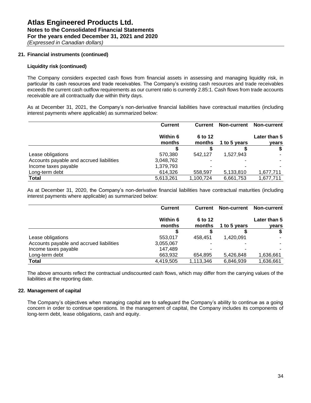**21. Financial instruments (continued)**

#### **Liquidity risk (continued)**

The Company considers expected cash flows from financial assets in assessing and managing liquidity risk, in particular its cash resources and trade receivables. The Company's existing cash resources and trade receivables exceeds the current cash outflow requirements as our current ratio is currently 2.85:1. Cash flows from trade accounts receivable are all contractually due within thirty days.

As at December 31, 2021, the Company's non-derivative financial liabilities have contractual maturities (including interest payments where applicable) as summarized below:

|                                          | Current            | Current           | Non-current  | <b>Non-current</b>    |
|------------------------------------------|--------------------|-------------------|--------------|-----------------------|
|                                          | Within 6<br>months | 6 to 12<br>months | 1 to 5 years | Later than 5<br>years |
|                                          |                    |                   |              | \$                    |
| Lease obligations                        | 570.380            | 542.127           | 1,527,943    |                       |
| Accounts payable and accrued liabilities | 3,048,762          |                   |              |                       |
| Income taxes payable                     | 1,379,793          | ۰                 |              |                       |
| Long-term debt                           | 614,326            | 558,597           | 5,133,810    | 1,677,711             |
| <b>Total</b>                             | 5,613,261          | 1,100,724         | 6,661,753    | 1,677,711             |

As at December 31, 2020, the Company's non-derivative financial liabilities have contractual maturities (including interest payments where applicable) as summarized below:

|                                          | <b>Current</b>            | <b>Current</b>    | Non-current  | Non-current           |
|------------------------------------------|---------------------------|-------------------|--------------|-----------------------|
|                                          | <b>Within 6</b><br>months | 6 to 12<br>months | 1 to 5 years | Later than 5<br>vears |
|                                          |                           |                   |              | \$                    |
| Lease obligations                        | 553,017                   | 458.451           | 1.420.091    |                       |
| Accounts payable and accrued liabilities | 3,055,067                 | -                 |              |                       |
| Income taxes payable                     | 147,489                   | ۰                 |              |                       |
| Long-term debt                           | 663,932                   | 654,895           | 5,426,848    | 1,636,661             |
| <b>Total</b>                             | 4,419,505                 | 1,113,346         | 6,846,939    | 1,636,661             |

The above amounts reflect the contractual undiscounted cash flows, which may differ from the carrying values of the liabilities at the reporting date.

#### **22. Management of capital**

The Company's objectives when managing capital are to safeguard the Company's ability to continue as a going concern in order to continue operations. In the management of capital, the Company includes its components of long-term debt, lease obligations, cash and equity.